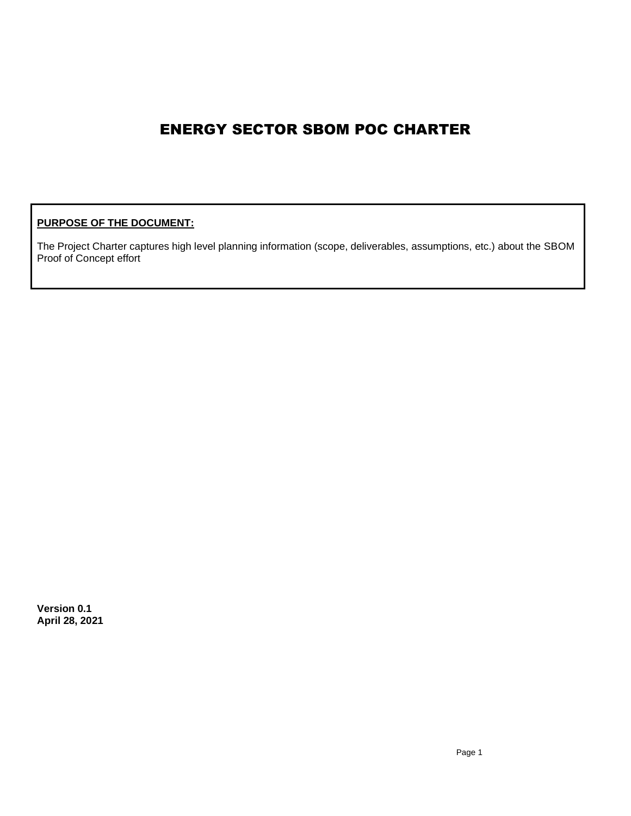# ENERGY SECTOR SBOM POC CHARTER

### **PURPOSE OF THE DOCUMENT:**

The Project Charter captures high level planning information (scope, deliverables, assumptions, etc.) about the SBOM Proof of Concept effort

**Version 0.1 April 28, 2021**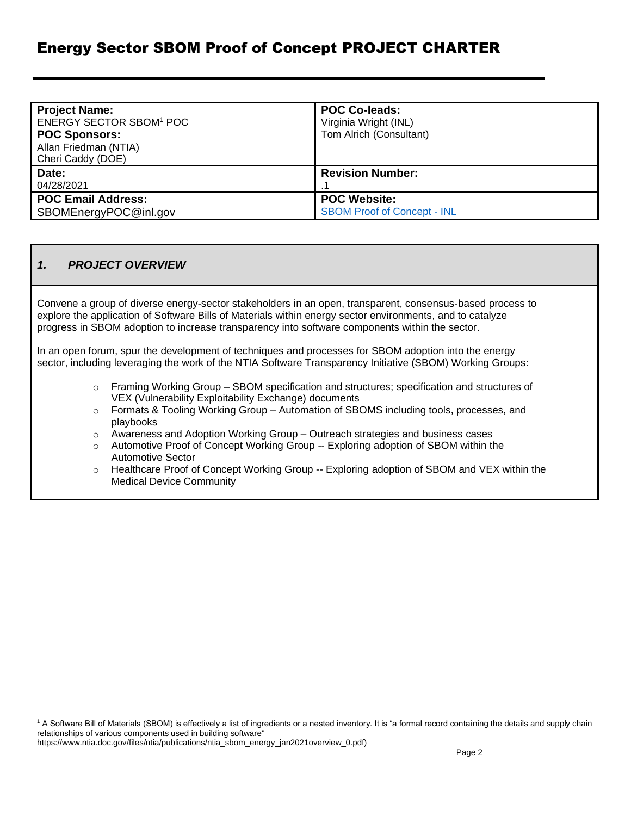# Energy Sector SBOM Proof of Concept PROJECT CHARTER

| <b>Project Name:</b><br><b>ENERGY SECTOR SBOM<sup>1</sup> POC</b><br><b>POC Sponsors:</b><br>Allan Friedman (NTIA)<br>Cheri Caddy (DOE) | <b>POC Co-leads:</b><br>Virginia Wright (INL)<br>Tom Alrich (Consultant) |
|-----------------------------------------------------------------------------------------------------------------------------------------|--------------------------------------------------------------------------|
| Date:<br>04/28/2021                                                                                                                     | <b>Revision Number:</b>                                                  |
| <b>POC Email Address:</b><br>SBOMEnergyPOC@inl.gov                                                                                      | <b>POC Website:</b><br><b>SBOM Proof of Concept - INL</b>                |

#### *1. PROJECT OVERVIEW*

Convene a group of diverse energy-sector stakeholders in an open, transparent, consensus-based process to explore the application of Software Bills of Materials within energy sector environments, and to catalyze progress in SBOM adoption to increase transparency into software components within the sector.

In an open forum, spur the development of techniques and processes for SBOM adoption into the energy sector, including leveraging the work of the NTIA Software Transparency Initiative (SBOM) Working Groups:

- $\circ$  Framing Working Group SBOM specification and structures; specification and structures of VEX (Vulnerability Exploitability Exchange) documents
- $\circ$  Formats & Tooling Working Group Automation of SBOMS including tools, processes, and playbooks
- $\circ$  Awareness and Adoption Working Group Outreach strategies and business cases
- o Automotive Proof of Concept Working Group -- Exploring adoption of SBOM within the Automotive Sector
- o Healthcare Proof of Concept Working Group -- Exploring adoption of SBOM and VEX within the Medical Device Community

<sup>&</sup>lt;sup>1</sup> A Software Bill of Materials (SBOM) is effectively a list of ingredients or a nested inventory. It is "a formal record containing the details and supply chain relationships of various components used in building software"

https://www.ntia.doc.gov/files/ntia/publications/ntia\_sbom\_energy\_jan2021overview\_0.pdf)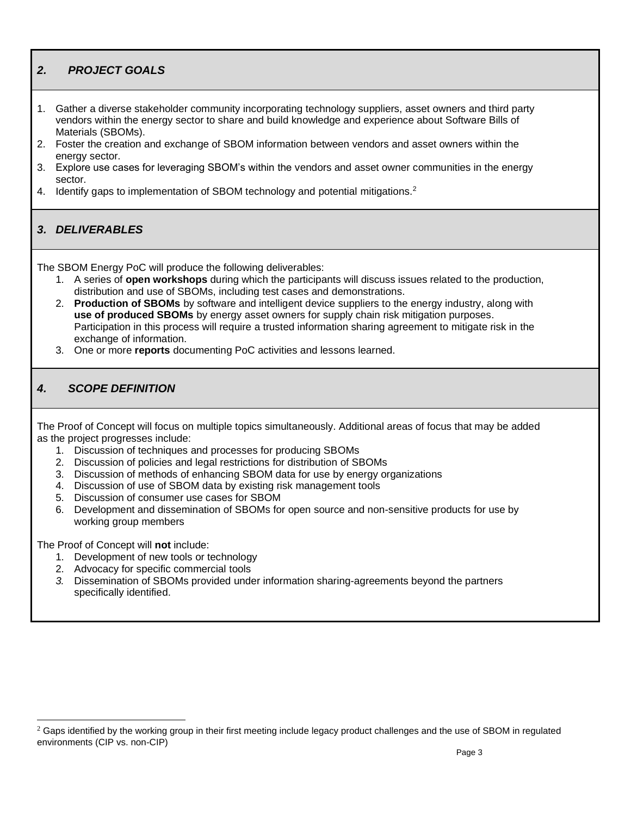# *2. PROJECT GOALS*

- 1. Gather a diverse stakeholder community incorporating technology suppliers, asset owners and third party vendors within the energy sector to share and build knowledge and experience about Software Bills of Materials (SBOMs).
- 2. Foster the creation and exchange of SBOM information between vendors and asset owners within the energy sector.
- 3. Explore use cases for leveraging SBOM's within the vendors and asset owner communities in the energy sector.
- 4. Identify gaps to implementation of SBOM technology and potential mitigations.<sup>2</sup>

### *3. DELIVERABLES*

The SBOM Energy PoC will produce the following deliverables:

- 1. A series of **open workshops** during which the participants will discuss issues related to the production, distribution and use of SBOMs, including test cases and demonstrations.
- 2. **Production of SBOMs** by software and intelligent device suppliers to the energy industry, along with **use of produced SBOMs** by energy asset owners for supply chain risk mitigation purposes. Participation in this process will require a trusted information sharing agreement to mitigate risk in the exchange of information.
- 3. One or more **reports** documenting PoC activities and lessons learned.

### *4. SCOPE DEFINITION*

The Proof of Concept will focus on multiple topics simultaneously. Additional areas of focus that may be added as the project progresses include:

- 1. Discussion of techniques and processes for producing SBOMs
- 2. Discussion of policies and legal restrictions for distribution of SBOMs
- 3. Discussion of methods of enhancing SBOM data for use by energy organizations
- 4. Discussion of use of SBOM data by existing risk management tools
- 5. Discussion of consumer use cases for SBOM
- 6. Development and dissemination of SBOMs for open source and non-sensitive products for use by working group members

The Proof of Concept will **not** include:

- 1. Development of new tools or technology
- 2. Advocacy for specific commercial tools
- *3.* Dissemination of SBOMs provided under information sharing-agreements beyond the partners specifically identified.

 $2$  Gaps identified by the working group in their first meeting include legacy product challenges and the use of SBOM in regulated environments (CIP vs. non-CIP)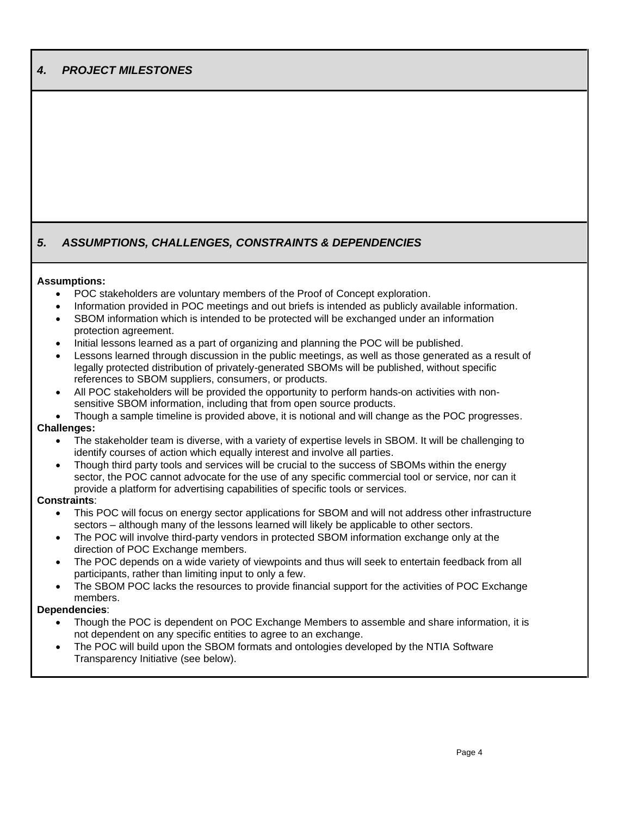# *4. PROJECT MILESTONES*

### *5. ASSUMPTIONS, CHALLENGES, CONSTRAINTS & DEPENDENCIES*

#### **Assumptions:**

- POC stakeholders are voluntary members of the Proof of Concept exploration.
- Information provided in POC meetings and out briefs is intended as publicly available information.
- SBOM information which is intended to be protected will be exchanged under an information protection agreement.
- Initial lessons learned as a part of organizing and planning the POC will be published.
- Lessons learned through discussion in the public meetings, as well as those generated as a result of legally protected distribution of privately-generated SBOMs will be published, without specific references to SBOM suppliers, consumers, or products.
- All POC stakeholders will be provided the opportunity to perform hands-on activities with nonsensitive SBOM information, including that from open source products.
- Though a sample timeline is provided above, it is notional and will change as the POC progresses. **Challenges:**
	- The stakeholder team is diverse, with a variety of expertise levels in SBOM. It will be challenging to identify courses of action which equally interest and involve all parties.
	- Though third party tools and services will be crucial to the success of SBOMs within the energy sector, the POC cannot advocate for the use of any specific commercial tool or service, nor can it provide a platform for advertising capabilities of specific tools or services.

#### **Constraints**:

- This POC will focus on energy sector applications for SBOM and will not address other infrastructure sectors – although many of the lessons learned will likely be applicable to other sectors.
- The POC will involve third-party vendors in protected SBOM information exchange only at the direction of POC Exchange members.
- The POC depends on a wide variety of viewpoints and thus will seek to entertain feedback from all participants, rather than limiting input to only a few.
- The SBOM POC lacks the resources to provide financial support for the activities of POC Exchange members.

#### **Dependencies**:

- Though the POC is dependent on POC Exchange Members to assemble and share information, it is not dependent on any specific entities to agree to an exchange.
- The POC will build upon the SBOM formats and ontologies developed by the NTIA Software Transparency Initiative (see below).